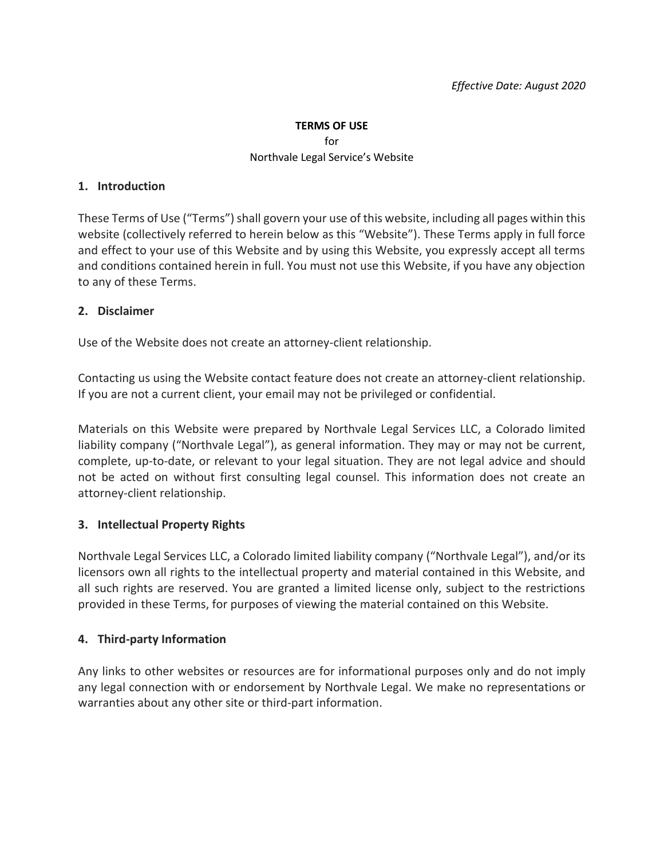#### **TERMS OF USE**

#### for Northvale Legal Service's Website

#### **1. Introduction**

These Terms of Use ("Terms") shall govern your use of this website, including all pages within this website (collectively referred to herein below as this "Website"). These Terms apply in full force and effect to your use of this Website and by using this Website, you expressly accept all terms and conditions contained herein in full. You must not use this Website, if you have any objection to any of these Terms.

## **2. Disclaimer**

Use of the Website does not create an attorney-client relationship.

Contacting us using the Website contact feature does not create an attorney-client relationship. If you are not a current client, your email may not be privileged or confidential.

Materials on this Website were prepared by Northvale Legal Services LLC, a Colorado limited liability company ("Northvale Legal"), as general information. They may or may not be current, complete, up-to-date, or relevant to your legal situation. They are not legal advice and should not be acted on without first consulting legal counsel. This information does not create an attorney-client relationship.

# **3. Intellectual Property Rights**

Northvale Legal Services LLC, a Colorado limited liability company ("Northvale Legal"), and/or its licensors own all rights to the intellectual property and material contained in this Website, and all such rights are reserved. You are granted a limited license only, subject to the restrictions provided in these Terms, for purposes of viewing the material contained on this Website.

# **4. Third-party Information**

Any links to other websites or resources are for informational purposes only and do not imply any legal connection with or endorsement by Northvale Legal. We make no representations or warranties about any other site or third-part information.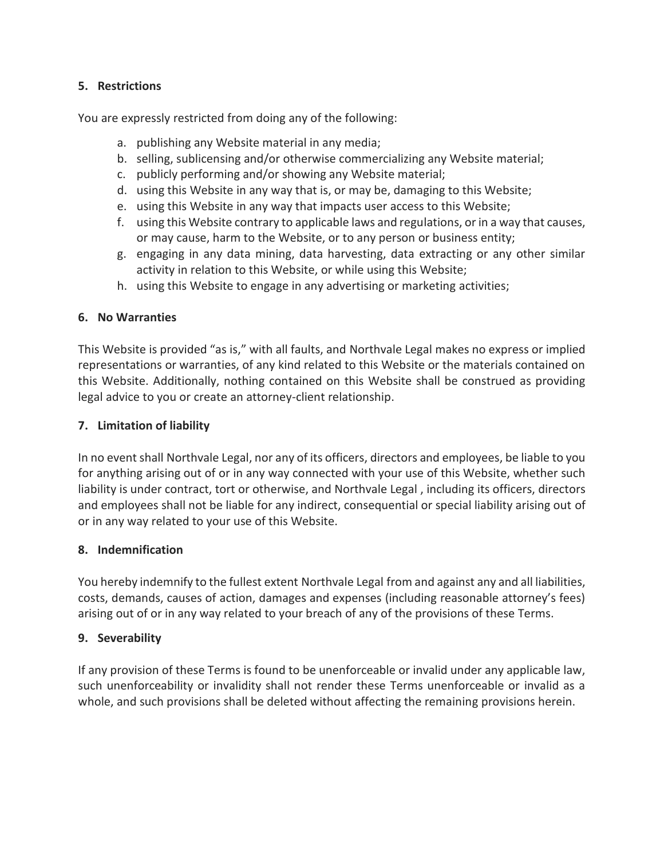## **5. Restrictions**

You are expressly restricted from doing any of the following:

- a. publishing any Website material in any media;
- b. selling, sublicensing and/or otherwise commercializing any Website material;
- c. publicly performing and/or showing any Website material;
- d. using this Website in any way that is, or may be, damaging to this Website;
- e. using this Website in any way that impacts user access to this Website;
- f. using this Website contrary to applicable laws and regulations, or in a way that causes, or may cause, harm to the Website, or to any person or business entity;
- g. engaging in any data mining, data harvesting, data extracting or any other similar activity in relation to this Website, or while using this Website;
- h. using this Website to engage in any advertising or marketing activities;

#### **6. No Warranties**

This Website is provided "as is," with all faults, and Northvale Legal makes no express or implied representations or warranties, of any kind related to this Website or the materials contained on this Website. Additionally, nothing contained on this Website shall be construed as providing legal advice to you or create an attorney-client relationship.

### **7. Limitation of liability**

In no event shall Northvale Legal, nor any of its officers, directors and employees, be liable to you for anything arising out of or in any way connected with your use of this Website, whether such liability is under contract, tort or otherwise, and Northvale Legal , including its officers, directors and employees shall not be liable for any indirect, consequential or special liability arising out of or in any way related to your use of this Website.

#### **8. Indemnification**

You hereby indemnify to the fullest extent Northvale Legal from and against any and all liabilities, costs, demands, causes of action, damages and expenses (including reasonable attorney's fees) arising out of or in any way related to your breach of any of the provisions of these Terms.

# **9. Severability**

If any provision of these Terms is found to be unenforceable or invalid under any applicable law, such unenforceability or invalidity shall not render these Terms unenforceable or invalid as a whole, and such provisions shall be deleted without affecting the remaining provisions herein.